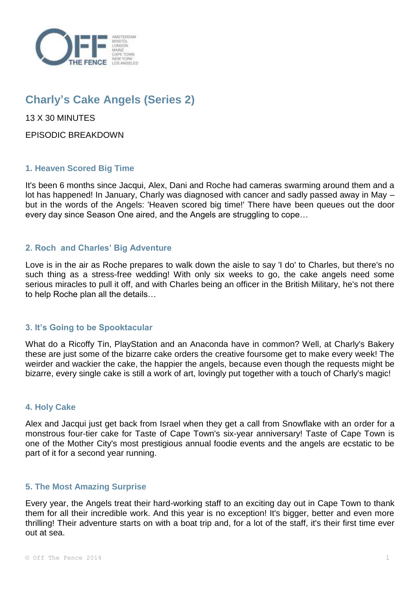

# **Charly's Cake Angels (Series 2)**

13 X 30 MINUTES

EPISODIC BREAKDOWN

# **1. Heaven Scored Big Time**

It's been 6 months since Jacqui, Alex, Dani and Roche had cameras swarming around them and a lot has happened! In January, Charly was diagnosed with cancer and sadly passed away in May – but in the words of the Angels: 'Heaven scored big time!' There have been queues out the door every day since Season One aired, and the Angels are struggling to cope…

# **2. Roch and Charles' Big Adventure**

Love is in the air as Roche prepares to walk down the aisle to say 'I do' to Charles, but there's no such thing as a stress-free wedding! With only six weeks to go, the cake angels need some serious miracles to pull it off, and with Charles being an officer in the British Military, he's not there to help Roche plan all the details…

# **3. It's Going to be Spooktacular**

What do a Ricoffy Tin, PlayStation and an Anaconda have in common? Well, at Charly's Bakery these are just some of the bizarre cake orders the creative foursome get to make every week! The weirder and wackier the cake, the happier the angels, because even though the requests might be bizarre, every single cake is still a work of art, lovingly put together with a touch of Charly's magic!

# **4. Holy Cake**

Alex and Jacqui just get back from Israel when they get a call from Snowflake with an order for a monstrous four-tier cake for Taste of Cape Town's six-year anniversary! Taste of Cape Town is one of the Mother City's most prestigious annual foodie events and the angels are ecstatic to be part of it for a second year running.

## **5. The Most Amazing Surprise**

Every year, the Angels treat their hard-working staff to an exciting day out in Cape Town to thank them for all their incredible work. And this year is no exception! It's bigger, better and even more thrilling! Their adventure starts on with a boat trip and, for a lot of the staff, it's their first time ever out at sea.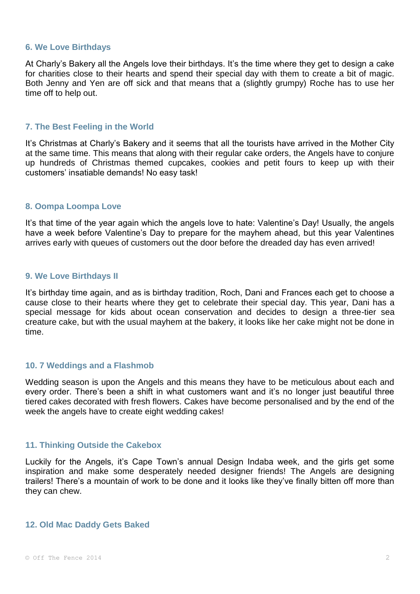#### **6. We Love Birthdays**

At Charly's Bakery all the Angels love their birthdays. It's the time where they get to design a cake for charities close to their hearts and spend their special day with them to create a bit of magic. Both Jenny and Yen are off sick and that means that a (slightly grumpy) Roche has to use her time off to help out.

#### **7. The Best Feeling in the World**

It's Christmas at Charly's Bakery and it seems that all the tourists have arrived in the Mother City at the same time. This means that along with their regular cake orders, the Angels have to conjure up hundreds of Christmas themed cupcakes, cookies and petit fours to keep up with their customers' insatiable demands! No easy task!

#### **8. Oompa Loompa Love**

It's that time of the year again which the angels love to hate: Valentine's Day! Usually, the angels have a week before Valentine's Day to prepare for the mayhem ahead, but this year Valentines arrives early with queues of customers out the door before the dreaded day has even arrived!

#### **9. We Love Birthdays II**

It's birthday time again, and as is birthday tradition, Roch, Dani and Frances each get to choose a cause close to their hearts where they get to celebrate their special day. This year, Dani has a special message for kids about ocean conservation and decides to design a three-tier sea creature cake, but with the usual mayhem at the bakery, it looks like her cake might not be done in time.

## **10. 7 Weddings and a Flashmob**

Wedding season is upon the Angels and this means they have to be meticulous about each and every order. There's been a shift in what customers want and it's no longer just beautiful three tiered cakes decorated with fresh flowers. Cakes have become personalised and by the end of the week the angels have to create eight wedding cakes!

#### **11. Thinking Outside the Cakebox**

Luckily for the Angels, it's Cape Town's annual Design Indaba week, and the girls get some inspiration and make some desperately needed designer friends! The Angels are designing trailers! There's a mountain of work to be done and it looks like they've finally bitten off more than they can chew.

#### **12. Old Mac Daddy Gets Baked**